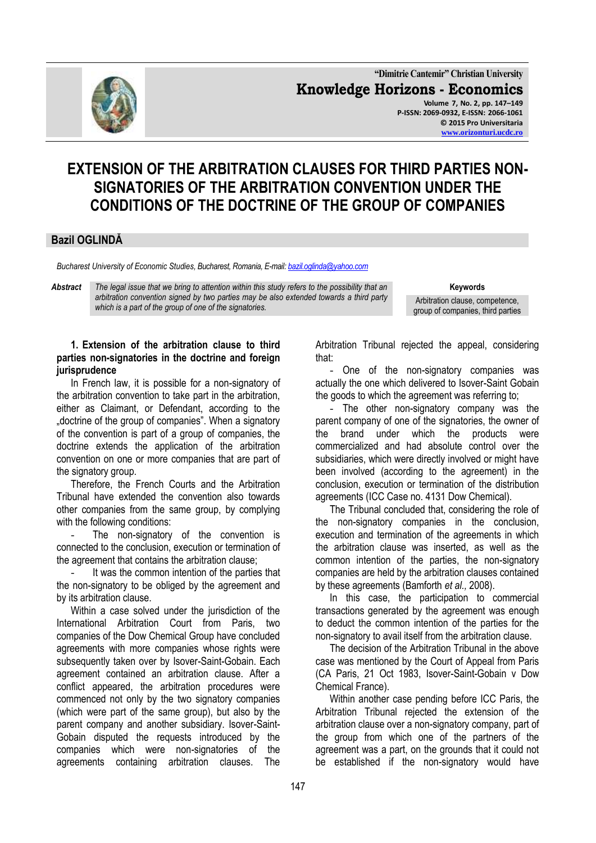

**"Dimitrie Cantemir" Christian University Knowledge Horizons - Economics Volume 7, No. 2, pp. 147–149 P-ISSN: 2069-0932, E-ISSN: 2066-1061 © 2015 Pro Universitaria [www.orizonturi.ucdc.ro](http://www.orizonturi.ucdc.ro/)**

# **EXTENSION OF THE ARBITRATION CLAUSES FOR THIRD PARTIES NON-SIGNATORIES OF THE ARBITRATION CONVENTION UNDER THE CONDITIONS OF THE DOCTRINE OF THE GROUP OF COMPANIES**

# **Bazil OGLINDĂ**

*Bucharest University of Economic Studies, Bucharest, Romania, E-mail[: bazil.oglinda@yahoo.com](mailto:bazil.oglinda@yahoo.com)*

*Abstract The legal issue that we bring to attention within this study refers to the possibility that an arbitration convention signed by two parties may be also extended towards a third party which is a part of the group of one of the signatories.*

**Keywords**

Arbitration clause, competence, group of companies, third parties

### **1. Extension of the arbitration clause to third parties non-signatories in the doctrine and foreign jurisprudence**

In French law, it is possible for a non-signatory of the arbitration convention to take part in the arbitration, either as Claimant, or Defendant, according to the "doctrine of the group of companies". When a signatory of the convention is part of a group of companies, the doctrine extends the application of the arbitration convention on one or more companies that are part of the signatory group.

Therefore, the French Courts and the Arbitration Tribunal have extended the convention also towards other companies from the same group, by complying with the following conditions:

The non-signatory of the convention is connected to the conclusion, execution or termination of the agreement that contains the arbitration clause;

It was the common intention of the parties that the non-signatory to be obliged by the agreement and by its arbitration clause.

Within a case solved under the jurisdiction of the International Arbitration Court from Paris, two companies of the Dow Chemical Group have concluded agreements with more companies whose rights were subsequently taken over by Isover-Saint-Gobain. Each agreement contained an arbitration clause. After a conflict appeared, the arbitration procedures were commenced not only by the two signatory companies (which were part of the same group), but also by the parent company and another subsidiary. Isover-Saint-Gobain disputed the requests introduced by the companies which were non-signatories of the agreements containing arbitration clauses. The

Arbitration Tribunal rejected the appeal, considering that:

- One of the non-signatory companies was actually the one which delivered to Isover-Saint Gobain the goods to which the agreement was referring to;

- The other non-signatory company was the parent company of one of the signatories, the owner of the brand under which the products were commercialized and had absolute control over the subsidiaries, which were directly involved or might have been involved (according to the agreement) in the conclusion, execution or termination of the distribution agreements (ICC Case no. 4131 Dow Chemical).

The Tribunal concluded that, considering the role of the non-signatory companies in the conclusion, execution and termination of the agreements in which the arbitration clause was inserted, as well as the common intention of the parties, the non-signatory companies are held by the arbitration clauses contained by these agreements (Bamforth *et al.,* 2008).

In this case, the participation to commercial transactions generated by the agreement was enough to deduct the common intention of the parties for the non-signatory to avail itself from the arbitration clause.

The decision of the Arbitration Tribunal in the above case was mentioned by the Court of Appeal from Paris (CA Paris, 21 Oct 1983, Isover-Saint-Gobain v Dow Chemical France).

Within another case pending before ICC Paris, the Arbitration Tribunal rejected the extension of the arbitration clause over a non-signatory company, part of the group from which one of the partners of the agreement was a part, on the grounds that it could not be established if the non-signatory would have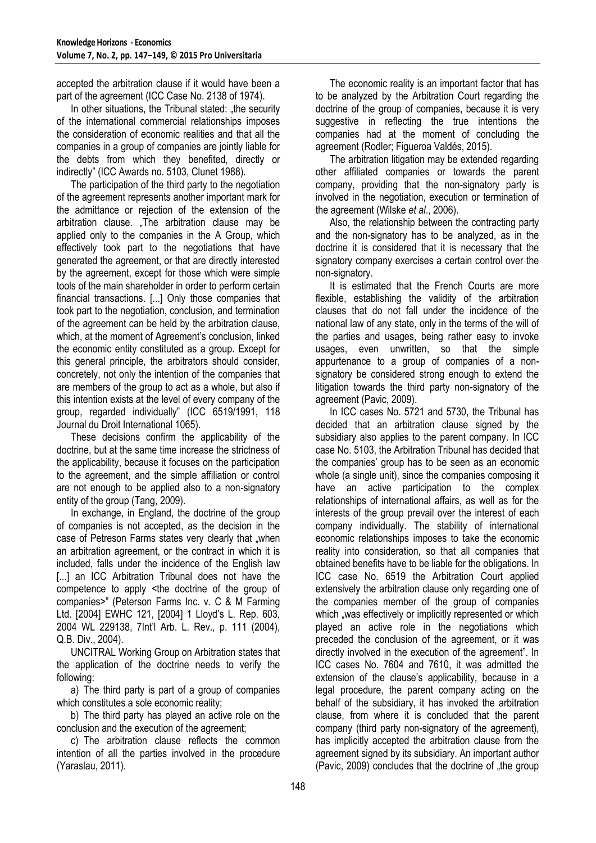accepted the arbitration clause if it would have been a part of the agreement (ICC Case No. 2138 of 1974).

In other situations, the Tribunal stated: "the security of the international commercial relationships imposes the consideration of economic realities and that all the companies in a group of companies are jointly liable for the debts from which they benefited, directly or indirectly" (ICC Awards no. 5103, Clunet 1988).

The participation of the third party to the negotiation of the agreement represents another important mark for the admittance or rejection of the extension of the arbitration clause. "The arbitration clause may be applied only to the companies in the A Group, which effectively took part to the negotiations that have generated the agreement, or that are directly interested by the agreement, except for those which were simple tools of the main shareholder in order to perform certain financial transactions. [...] Only those companies that took part to the negotiation, conclusion, and termination of the agreement can be held by the arbitration clause, which, at the moment of Agreement's conclusion, linked the economic entity constituted as a group. Except for this general principle, the arbitrators should consider, concretely, not only the intention of the companies that are members of the group to act as a whole, but also if this intention exists at the level of every company of the group, regarded individually" (ICC 6519/1991, 118 Journal du Droit International 1065).

These decisions confirm the applicability of the doctrine, but at the same time increase the strictness of the applicability, because it focuses on the participation to the agreement, and the simple affiliation or control are not enough to be applied also to a non-signatory entity of the group (Tang, 2009).

In exchange, in England, the doctrine of the group of companies is not accepted, as the decision in the case of Petreson Farms states very clearly that "when an arbitration agreement, or the contract in which it is included, falls under the incidence of the English law [...] an ICC Arbitration Tribunal does not have the competence to apply <the doctrine of the group of companies>" (Peterson Farms Inc. v. C & M Farming Ltd. [2004] EWHC 121, [2004] 1 Lloyd's L. Rep. 603, 2004 WL 229138, 7Int'l Arb. L. Rev., p. 111 (2004), Q.B. Div., 2004).

UNCITRAL Working Group on Arbitration states that the application of the doctrine needs to verify the following:

a) The third party is part of a group of companies which constitutes a sole economic reality;

b) The third party has played an active role on the conclusion and the execution of the agreement;

c) The arbitration clause reflects the common intention of all the parties involved in the procedure (Yaraslau, 2011).

The economic reality is an important factor that has to be analyzed by the Arbitration Court regarding the doctrine of the group of companies, because it is very suggestive in reflecting the true intentions the companies had at the moment of concluding the agreement (Rodler; Figueroa Valdés, 2015).

The arbitration litigation may be extended regarding other affiliated companies or towards the parent company, providing that the non-signatory party is involved in the negotiation, execution or termination of the agreement (Wilske *et al*., 2006).

Also, the relationship between the contracting party and the non-signatory has to be analyzed, as in the doctrine it is considered that it is necessary that the signatory company exercises a certain control over the non-signatory.

It is estimated that the French Courts are more flexible, establishing the validity of the arbitration clauses that do not fall under the incidence of the national law of any state, only in the terms of the will of the parties and usages, being rather easy to invoke usages, even unwritten, so that the simple appurtenance to a group of companies of a nonsignatory be considered strong enough to extend the litigation towards the third party non-signatory of the agreement (Pavic, 2009).

In ICC cases No. 5721 and 5730, the Tribunal has decided that an arbitration clause signed by the subsidiary also applies to the parent company. In ICC case No. 5103, the Arbitration Tribunal has decided that the companies' group has to be seen as an economic whole (a single unit), since the companies composing it have an active participation to the complex relationships of international affairs, as well as for the interests of the group prevail over the interest of each company individually. The stability of international economic relationships imposes to take the economic reality into consideration, so that all companies that obtained benefits have to be liable for the obligations. In ICC case No. 6519 the Arbitration Court applied extensively the arbitration clause only regarding one of the companies member of the group of companies which "was effectively or implicitly represented or which played an active role in the negotiations which preceded the conclusion of the agreement, or it was directly involved in the execution of the agreement". In ICC cases No. 7604 and 7610, it was admitted the extension of the clause's applicability, because in a legal procedure, the parent company acting on the behalf of the subsidiary, it has invoked the arbitration clause, from where it is concluded that the parent company (third party non-signatory of the agreement), has implicitly accepted the arbitration clause from the agreement signed by its subsidiary. An important author (Pavic, 2009) concludes that the doctrine of "the group